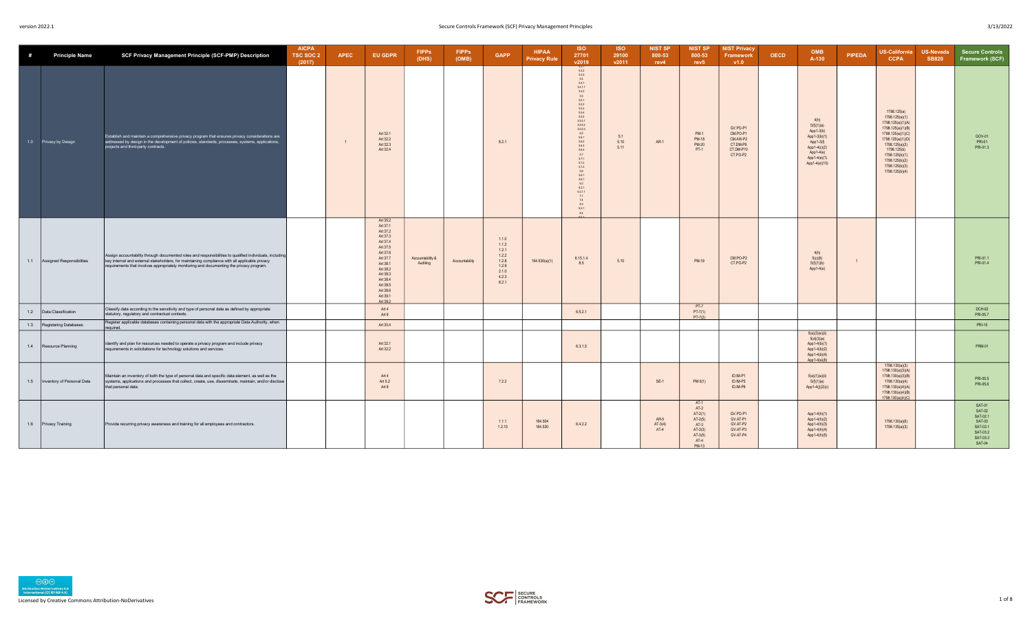| # | <b>Principle Name</b>            | SCF Privacy Management Principle (SCF-PMP) Description                                                                                                                                                                                                                                                | <b>AICPA</b><br>TSC SOC 2<br>(2017) | <b>APEC</b> | <b>EU GDPR</b>                                                                                                                                                                               | <b>FIPPS</b><br>(DHS)        | <b>FIPPs</b><br>(OMB) | <b>GAPP</b>                                                                   | <b>HIPAA</b><br><b>Privacy Rule</b> | <b>ISO</b><br>27701<br>v2019                                                                                                                                                                                                                                                                                                                                                                                                            | <b>ISO</b><br>29100<br>v2011 | <b>NIST SP</b><br>800-53<br>rev4 | <b>NIST SP</b><br>800-53<br>rev <sub>5</sub>                                                             | <b>NIST Privacy</b><br>Framework<br>V1.0                              | <b>OECD</b> | <b>OMB</b><br>A-130                                                                                                         | <b>PIPEDA</b>  | <b>US-California</b><br><b>CCPA</b>                                                                                                                                                                                        | <b>US-Nevada</b><br><b>SB820</b> | <b>Secure Controls</b><br>Framework (SCF)                                                   |
|---|----------------------------------|-------------------------------------------------------------------------------------------------------------------------------------------------------------------------------------------------------------------------------------------------------------------------------------------------------|-------------------------------------|-------------|----------------------------------------------------------------------------------------------------------------------------------------------------------------------------------------------|------------------------------|-----------------------|-------------------------------------------------------------------------------|-------------------------------------|-----------------------------------------------------------------------------------------------------------------------------------------------------------------------------------------------------------------------------------------------------------------------------------------------------------------------------------------------------------------------------------------------------------------------------------------|------------------------------|----------------------------------|----------------------------------------------------------------------------------------------------------|-----------------------------------------------------------------------|-------------|-----------------------------------------------------------------------------------------------------------------------------|----------------|----------------------------------------------------------------------------------------------------------------------------------------------------------------------------------------------------------------------------|----------------------------------|---------------------------------------------------------------------------------------------|
|   | 1.0 Privacy by Design            | Establish and maintain a comprehensive privacy program that ensures privacy considerations are<br>addressed by design in the development of policies, standards, processes, systems, applications,<br>projects and third-party contracts.                                                             |                                     |             | Art 32.1<br>Art 32.2<br>Art 32.3<br>Art 32.4                                                                                                                                                 |                              |                       | 8.2.1                                                                         |                                     | 5.3.1<br>$\frac{5.3.2}{5.3.3}$<br>5.4<br>5.4.1<br>$\begin{array}{c} 6.4.1.1 \\ 6.4.2 \end{array}$<br>5.5<br>5.5.1<br>$\frac{5.5.2}{5.5.3}$<br>5.5.4<br>5.5.5<br>5.5.5.1<br>$\begin{array}{c} 6.6.6.2 \\ 6.6.6.3 \end{array}$<br>6.5<br>$\frac{5.6.1}{5.6.2}$<br>5.6.3<br>5.6.4<br>5.7<br>6.7.1<br>$\begin{array}{c} 5.7.2 \\ 5.7.3 \end{array}$<br>5.8<br>5.8.1<br>5.8.1<br>6.2<br>6.2.1<br>6.2.1.1<br>7.1<br>7.4<br>8.3<br>8.3.1<br>84 | 5.1<br>5.10<br>5.11          | <b>AR-1</b>                      | <b>PM-1</b><br><b>PM-18</b><br><b>PM-20</b><br>PT-1                                                      | GV.PO-P1<br>CM.PO-P1<br>CM.AW-P2<br>CT.DM-P9<br>CT.DM-P10<br>CT.PO-P2 |             | 4(h)<br>5(f)(1)(a)<br>App 1-3(b)<br>App1-3(b)(1)<br>App1-3(f)<br>App1-4(c)(2)<br>App1-4(e)<br>App1-4(e)(1)<br>App1-4(e)(10) |                | 1798.125(a)<br>1798.125(a)(1)<br>1798.125(a)(1)(A)<br>1798.125(a)(1)(B)<br>1798.125(a)(1)(C)<br>1798.125(a)(1)(D)<br>1798.125(a)(2)<br>1798.125(b)<br>1798.125(b)(1)<br>1798.125(b)(2)<br>1798.125(b)(3)<br>1798.125(b)(4) |                                  | GOV-01<br>PRI-01<br>PRI-01.3                                                                |
|   | 1.1 Assigned Responsibilities    | Assign accountability through documented roles and responsibilities to qualified individuals, including<br>key internal and external stakeholders, for maintaining compliance with all applicable privacy<br>requirements that involves appropriately monitoring and documenting the privacy program. |                                     |             | Art 35.2<br>Art 37.1<br>Art 37.2<br>Art 37.3<br>Art 37.4<br>Art 37.5<br>Art 37.6<br>Art 37.7<br>Art 38.1<br>Art 38.2<br>Art 38.3<br>Art 38.4<br>Art 38.5<br>Art 38.6<br>Art 39.1<br>Art 39.2 | Accountability &<br>Auditing | Accountability        | 1.1.0<br>1.1.2<br>1.2.1<br>1.2.2<br>1.2.8<br>1.2.9<br>2.1.0<br>4.2.3<br>8.2.1 | 164.530(a)(1)                       | 6.15.1.4<br>8.5                                                                                                                                                                                                                                                                                                                                                                                                                         | 5.10                         |                                  | PM-19                                                                                                    | CM.PO-P2<br>CT.PO-P2                                                  |             | 4(h)<br>5(c)(6)<br>5(f)(1)(b)<br>$App1-4(e)$                                                                                | $\overline{1}$ |                                                                                                                                                                                                                            |                                  | PRI-01.1<br>PRI-01.4                                                                        |
|   | 1.2 Data Classification          | Classify data according to the sensitivity and type of personal data as defined by appropriate<br>statutory, regulatory and contractual contexts.                                                                                                                                                     |                                     |             | Art 4<br>Art 9                                                                                                                                                                               |                              |                       |                                                                               |                                     | 6.5.2.1                                                                                                                                                                                                                                                                                                                                                                                                                                 |                              |                                  | $PT-7$<br>$PT - 7(1)$<br>$PT - 7(2)$                                                                     |                                                                       |             |                                                                                                                             |                |                                                                                                                                                                                                                            |                                  | <b>DCH-02</b><br>PRI-05.7                                                                   |
|   | 1.3 Registering Databases        | Register applicable databases containing personal data with the appropriate Data Authority, when<br>required.                                                                                                                                                                                         |                                     |             | Art 30.4                                                                                                                                                                                     |                              |                       |                                                                               |                                     |                                                                                                                                                                                                                                                                                                                                                                                                                                         |                              |                                  |                                                                                                          |                                                                       |             |                                                                                                                             |                |                                                                                                                                                                                                                            |                                  | <b>PRI-15</b>                                                                               |
|   | 1.4 Resource Planning            | Identify and plan for resources needed to operate a privacy program and include privacy<br>requirements in solicitations for technology solutions and services.                                                                                                                                       |                                     |             | Art 32.1<br>Art 32.2                                                                                                                                                                         |                              |                       |                                                                               |                                     | 6.3.1.5                                                                                                                                                                                                                                                                                                                                                                                                                                 |                              |                                  |                                                                                                          |                                                                       |             | 5(a)(3)(e)(ii)<br>5(d)(3)(e)<br>App1-4(b)(1)<br>App1-4(b)(2)<br>App1-4(b)(4)<br>$App1-4(e)(6)$                              |                |                                                                                                                                                                                                                            |                                  | <b>PRM-01</b>                                                                               |
|   | 1.5   Inventory of Personal Data | Maintain an inventory of both the type of personal data and specific data element, as well as the<br>systems, applications and processes that collect, create, use, disseminate, maintain, and/or disclose<br>that personal data.                                                                     |                                     |             | Art 4<br>Art 5.2<br>Art 9                                                                                                                                                                    |                              |                       | 7.2.2                                                                         |                                     |                                                                                                                                                                                                                                                                                                                                                                                                                                         |                              | $SE-1$                           | $PM-5(1)$                                                                                                | ID.IM-P1<br>ID.IM-P3<br>ID.IM-P6                                      |             | 5(a)(1)(a)(ii)<br>5(f)(1)(e)<br>App1-4(j)(2)(c)                                                                             |                | 1798.130(a)(3)<br>1798.130(a)(3)(A)<br>1798.130(a)(3)(B)<br>1798.130(a)(4)<br>1798.130(a)(4)(A)<br>1798.130(a)(4)(B)<br>1798.130(a)(4)(C)                                                                                  |                                  | PRI-05.5<br>PRI-05.6                                                                        |
|   | 1.6 Privacy Training             | Provide recurring privacy awareness and training for all employees and contractors.                                                                                                                                                                                                                   |                                     |             |                                                                                                                                                                                              |                              |                       | 1.1.1<br>1.2.10                                                               | 164.504<br>164.530                  | 6.4.2.2                                                                                                                                                                                                                                                                                                                                                                                                                                 |                              | $AR-5$<br>$AT-3(4)$<br>$AT-4$    | $AT-1$<br>$AT-2$<br>$AT-2(1)$<br>$AT-2(5)$<br>$AT-3$<br>$AT-3(3)$<br>$AT-3(5)$<br>$AT-4$<br><b>PM-13</b> | GV.PO-P1<br>GV.AT-P1<br>GV.AT-P2<br>GV.AT-P3<br>GV.AT-P4              |             | App1-4(h)(1)<br>App1-4(h)(2)<br>$App1-4(h)(3)$<br>App1-4(h)(4)<br>App1-4(h)(5)                                              |                | 1798.130(a)(6)<br>1798.135(a)(3)                                                                                                                                                                                           |                                  | SAT-01<br>SAT-02<br>SAT-02.1<br>SAT-03<br>SAT-03.1<br>SAT-03.2<br>SAT-03.3<br><b>SAT-04</b> |

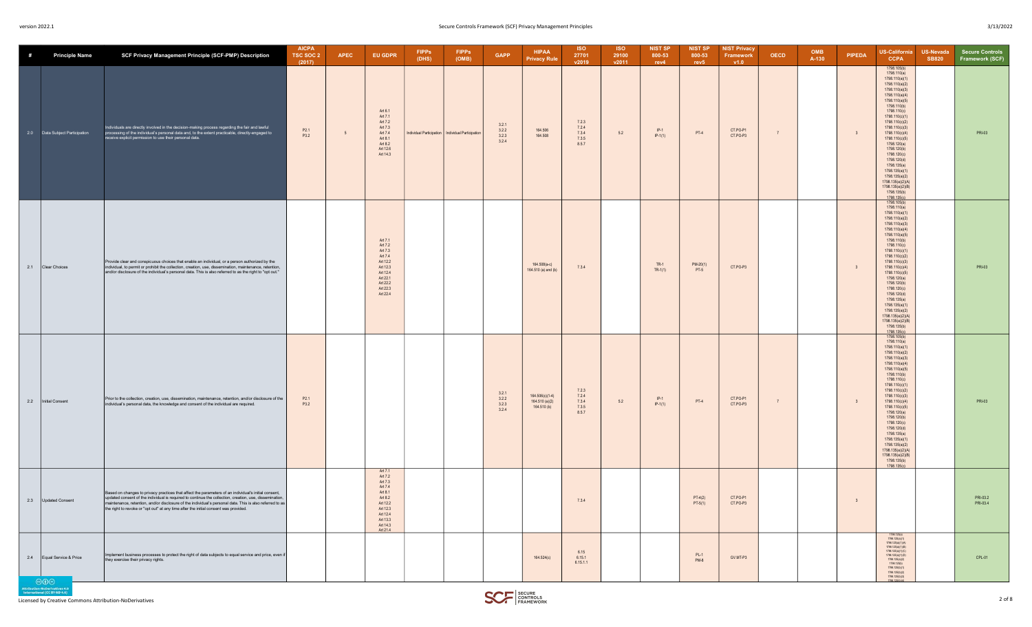| #   | <b>Principle Name</b>          | SCF Privacy Management Principle (SCF-PMP) Description                                                                                                                                                                                                                                                                                                                                                              | <b>AICPA</b><br>TSC SOC 2<br>(2017) | <b>APEC</b> | <b>EU GDPR</b>                                                                                                                         | <b>FIPPs</b><br>(DHS) | <b>FIPPs</b><br>(OMB)                               | <b>GAPP</b>                                                     | <b>HIPAA</b><br><b>Privacy Rule</b>                | <b>ISO</b><br>27701<br>v2019              | <b>ISO</b><br>29100<br>v2011 | <b>NIST SP</b><br>800-53<br>rev4 | <b>NIST SP</b><br>800-53<br>rev5 | <b>NIST Privacy</b><br>Framework<br>V1.0 | <b>OECD</b>    | OMB<br>A-130 | <b>PIPEDA</b>           | <b>US-California</b><br><b>CCPA</b>                                                                                                                                                                                                                                                                                                                                                                                                                | <b>US-Nevada</b><br><b>SB820</b> | <b>Secure Controls</b><br>Framework (SCF) |
|-----|--------------------------------|---------------------------------------------------------------------------------------------------------------------------------------------------------------------------------------------------------------------------------------------------------------------------------------------------------------------------------------------------------------------------------------------------------------------|-------------------------------------|-------------|----------------------------------------------------------------------------------------------------------------------------------------|-----------------------|-----------------------------------------------------|-----------------------------------------------------------------|----------------------------------------------------|-------------------------------------------|------------------------------|----------------------------------|----------------------------------|------------------------------------------|----------------|--------------|-------------------------|----------------------------------------------------------------------------------------------------------------------------------------------------------------------------------------------------------------------------------------------------------------------------------------------------------------------------------------------------------------------------------------------------------------------------------------------------|----------------------------------|-------------------------------------------|
|     | 2.0 Data Subject Participation | Individuals are directly involved in the decision-making process regarding the fair and lawful<br>processing of the individual's personal data and, to the extent practicable, directly-engaged to<br>receive explicit permission to use their personal data.                                                                                                                                                       | P <sub>2.1</sub><br>P3.2            | 5           | Art 6.1<br>Art 7.1<br>Art 7.2<br>Art 7.3<br>Art 7.4<br>Art 8.1<br>Art 8.2<br>Art 12.6<br>Art 14.3                                      |                       | Individual Participation   Individual Participation | 3.2.1<br>3.2.2<br>$\begin{array}{c} 3.2.3 \\ 3.2.4 \end{array}$ | 164.506<br>164.508                                 | 7.2.3<br>7.2.4<br>7.3.4<br>7.3.5<br>8.5.7 | 5.2                          | $IP-1$<br>$IP-1(1)$              | $PT-4$                           | CT.PO-P1<br>CT.PO-P3                     | $\overline{7}$ |              | $\overline{\mathbf{3}}$ | 1798.105(b)<br>1798.110(a)<br>1798.110(a)(1)<br>1798.110(a)(2)<br>1798.110(a)(3)<br>1798.110(a)(4)<br>1798.110(a)(5)<br>1798.110(b)<br>1798.110(c)<br>1798.110(c)(1)<br>1798.110(c)(2)<br>1798.110(c)(3)<br>1798.110(c)(4)<br>1798.110(c)(5)<br>1798.120(a)<br>1798.120(b)<br>1798.120(c)<br>1798.120(d)<br>1798.135(a)<br>1798.135(a)(1)<br>1798.135(a)(2)<br>1798.135(a)(2)(A)<br>1798.135(a)(2)(B)<br>1798.135(b)<br>1798.135(c)                |                                  | PRI-03                                    |
|     | 2.1 Clear Choices              | Provide clear and conspicuous choices that enable an individual, or a person authorized by the<br>individual, to permit or prohibit the collection, creation, use, dissemination, maintenance, retention,<br>and/or disclosure of the individual's personal data. This is also referred to as the right to "opt out."                                                                                               |                                     |             | Art 7.1<br>Art 7.2<br>Art 7.3<br>Art 7.4<br>Art 12.2<br>Art 12.3<br>Art 12.4<br>Art 22.1<br>Art 22.2<br>Art 22.3<br>Art 22.4           |                       |                                                     |                                                                 | 164.508(a-c)<br>164.510 (a) and (b)                | 7.3.4                                     |                              | $TR-1$<br>$TR-1(1)$              | $PM-20(1)$<br>$PT-5$             | CT.PO-P3                                 |                |              | $\overline{\mathbf{3}}$ | 1798.105(b)<br>1798.110(a)<br>1798.110(a)(1)<br>1798.110(a)(2)<br>1798.110(a)(3)<br>1798.110(a)(4)<br>1798.110(a)(5)<br>1798.110(b)<br>1798.110(c)<br>1798.110(c)(1)<br>1798.110(c)(2)<br>1798.110(c)(3)<br>1798.110(c)(4)<br>1798.110(c)(5)<br>1798.120(a)<br>1798.120(b)<br>1798.120(c)<br>1798.120(d)<br>1798.135(a)<br>1798.135(a)(1)<br>1798.135(a)(2)<br>1798.135(a)(2)(A)<br>1798.135(a)(2)(B)<br>1798.135(b)<br>1798.135(c)<br>1798.105(b) |                                  | PRI-03                                    |
|     | 2.2   Initial Consent          | Prior to the collection, creation, use, dissemination, maintenance, retention, and/or disclosure of the<br>individual's personal data, the knowledge and consent of the individual are required.                                                                                                                                                                                                                    | P2.1<br>P3.2                        |             |                                                                                                                                        |                       |                                                     | 3.2.1<br>3.2.2<br>3.2.3<br>3.2.4                                | $164.506(c)(1-4)$<br>164.510 (a)(2)<br>164.510 (b) | 7.2.3<br>7.2.4<br>7.3.4<br>7.3.5<br>8.5.7 | 5.2                          | $IP-1$<br>$IP-1(1)$              | $PT-4$                           | CT.PO-P1<br>CT.PO-P3                     | $\overline{7}$ |              | $\overline{\mathbf{3}}$ | 1798.110(a)<br>1798.110(a)(1)<br>1798.110(a)(2)<br>1798.110(a)(3)<br>1798.110(a)(4)<br>1798.110(a)(5)<br>1798.110(b)<br>1798.110(c)<br>1798.110(c)(1)<br>1798.110(c)(2)<br>1798.110(c)(3)<br>1798.110(c)(4)<br>1798.110(c)(5)<br>1798.120(a)<br>1798.120(b)<br>1798.120(c)<br>1798.120(d)<br>1798.135(a)<br>1798.135(a)(1)<br>1798.135(a)(2)<br>1798.135(a)(2)(A)<br>1798.135(a)(2)(B)<br>1798.135(b)<br>1798.135(c)                               |                                  | PRI-03                                    |
|     | 2.3 Updated Consent            | Based on changes to privacy practices that affect the parameters of an individual's initial consent,<br>updated consent of the individual is required to continue the collection, creation, use, dissemination,<br>maintenance, retention, and/or disclosure of the individual's personal data. This is also referred to as<br>the right to revoke or "opt out" at any time after the initial consent was provided. |                                     |             | Art 7.1<br>Art 7.2<br>Art 7.3<br>Art 7.4<br>Art 8.1<br>Art 8.2<br>Art 12.2<br>Art 12.3<br>Art 12.4<br>Art 13.3<br>Art 14.3<br>Art 21.4 |                       |                                                     |                                                                 |                                                    | 7.3.4                                     |                              |                                  | $PT-4(2)$<br>$PT-5(1)$           | CT.PO-P1<br>CT.PO-P3                     |                |              | 3                       |                                                                                                                                                                                                                                                                                                                                                                                                                                                    |                                  | PRI-03.2<br>PRI-03.4                      |
| 2.4 | Equal Service & Price<br>ൈറ    | Implement business processes to protect the right of data subjects to equal service and price, even if<br>they exercise their privacy rights.                                                                                                                                                                                                                                                                       |                                     |             |                                                                                                                                        |                       |                                                     |                                                                 | 164.524(c)                                         | 6.15<br>6.15.1<br>6.15.1.1                |                              |                                  | $PL-1$<br>$PM-8$                 | GV.MT-P3                                 |                |              |                         | 1798.125(a)<br>1798.125(a)(1)<br>1798.125(a)(1)(A)<br>1798.125(a)(1)(B)<br>1798.125(a)(1)(C)<br>1798.125(a)(1)(D)<br>1798.125(a)(2)<br>1798.125(b)<br>1798.125(b)(1)<br>1798.125(b)(2)<br>1798.125(b)(3)<br>1798 125/HV4                                                                                                                                                                                                                           |                                  | CPL-01                                    |

NoDerryatives 4.0<br>al (CC BY-ND 4.0)

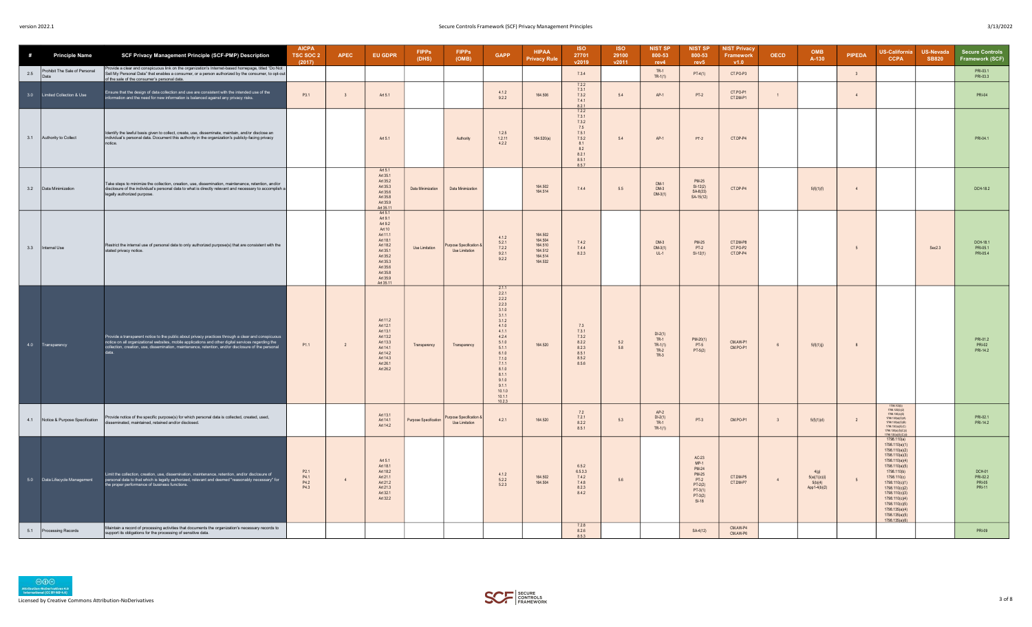| #   | <b>Principle Name</b>                 | SCF Privacy Management Principle (SCF-PMP) Description                                                                                                                                                                                                                                                       | <b>AICPA</b><br>TSC SOC 2<br>(2017)      | <b>APEC</b>    | <b>EU GDPR</b>                                                                                                                                                   | <b>FIPPs</b><br>(DHS) | <b>FIPPs</b><br>(OMB)                         | <b>GAPP</b>                                                                                                                                                                                         | <b>HIPAA</b><br><b>Privacy Rule</b>                            | <b>ISO</b><br>27701<br>v2019                                                   | <b>ISO</b><br>29100<br>v2011 | <b>NIST SP</b><br>800-53<br>rev4                     | <b>NIST SP</b><br>800-53<br>rev <sub>5</sub>                                                                | <b>NIST Privacy</b><br>Framework<br>V1.0 | <b>OECD</b>             | OMB<br>A-130                                     | PIPEDA                  | <b>US-California</b><br><b>CCPA</b>                                                                                                                                                                                                                                                 | <b>US-Nevada</b><br><b>SB820</b> | <b>Secure Controls</b><br>Framework (SCF)     |
|-----|---------------------------------------|--------------------------------------------------------------------------------------------------------------------------------------------------------------------------------------------------------------------------------------------------------------------------------------------------------------|------------------------------------------|----------------|------------------------------------------------------------------------------------------------------------------------------------------------------------------|-----------------------|-----------------------------------------------|-----------------------------------------------------------------------------------------------------------------------------------------------------------------------------------------------------|----------------------------------------------------------------|--------------------------------------------------------------------------------|------------------------------|------------------------------------------------------|-------------------------------------------------------------------------------------------------------------|------------------------------------------|-------------------------|--------------------------------------------------|-------------------------|-------------------------------------------------------------------------------------------------------------------------------------------------------------------------------------------------------------------------------------------------------------------------------------|----------------------------------|-----------------------------------------------|
| 2.5 | Prohibit The Sale of Personal<br>Data | rovide a clear and conspicuous link on the organization's Internet-based homepage, titled "Do Not<br>Sell My Personal Data" that enables a consumer, or a person authorized by the consumer, to opt-out<br>of the sale of the consumer's personal data.                                                      |                                          |                |                                                                                                                                                                  |                       |                                               |                                                                                                                                                                                                     |                                                                | 7.3.4                                                                          |                              | $TR-1$<br>$TR-1(1)$                                  | $PT-4(1)$                                                                                                   | CT.PO-P3                                 |                         |                                                  | $\overline{\mathbf{3}}$ |                                                                                                                                                                                                                                                                                     |                                  | PRI-03.1<br>PRI-03.3                          |
| 3.0 | Limited Collection & Use              | Ensure that the design of data collection and use are consistent with the intended use of the<br>information and the need for new information is balanced against any privacy risks.                                                                                                                         | P3.1                                     | $\overline{3}$ | Art 5.1                                                                                                                                                          |                       |                                               | 4.1.2<br>9.2.2                                                                                                                                                                                      | 164.506                                                        | 7.2.2<br>7.3.1<br>7.3.2<br>7.4.1<br>$\frac{8.2.1}{7.2.2}$                      | 5.4                          | $AP-1$                                               | $PT-2$                                                                                                      | CT.PO-P1<br>CT.DM-P1                     | $\overline{1}$          |                                                  | $\overline{4}$          |                                                                                                                                                                                                                                                                                     |                                  | <b>PRI-04</b>                                 |
| 3.1 | Authority to Collect                  | Identify the lawful basis given to collect, create, use, disseminate, maintain, and/or disclose an<br>individual's personal data. Document this authority in the organization's publicly-facing privacy<br>notice                                                                                            |                                          |                | Art 5.1                                                                                                                                                          |                       | Authority                                     | 1.2.5<br>1.2.11<br>4.2.2                                                                                                                                                                            | 164.520(a)                                                     | 7.3.1<br>7.3.2<br>7.5<br>7.5.1<br>7.5.2<br>8.1<br>8.2<br>8.2.1<br>8.5.1<br>857 | $5.4\,$                      | $AP-1$                                               | $PT-2$                                                                                                      | CT.DP-P4                                 |                         |                                                  |                         |                                                                                                                                                                                                                                                                                     |                                  | PRI-04.1                                      |
|     | 3.2 Data Minimization                 | Take steps to minimize the collection, creation, use, dissemination, maintenance, retention, and/or<br>disclosure of the individual's personal data to what is directly relevant and necessary to accomplish a<br>legally authorized purpose.                                                                |                                          |                | Art 5.1<br>Art 35.1<br>Art 35.2<br>Art 35.3<br>Art 35.6<br>Art 35.8<br>Art 35.9<br>Art 35.11                                                                     | Data Minimization     | Data Minimization                             |                                                                                                                                                                                                     | 164 502<br>164.514                                             | 7.4.4                                                                          | 5.5                          | DM-1<br>$DM-3$<br>$DM-3(1)$                          | <b>PM-25</b><br>$SI-12(2)$<br>SA-8(33)<br>SA-15(12)                                                         | CT.DP-P4                                 |                         | 5(f)(1)(f)                                       | $\overline{4}$          |                                                                                                                                                                                                                                                                                     |                                  | DCH-18.2                                      |
| 3.3 | Internal Use                          | Restrict the internal use of personal data to only authorized purpose(s) that are consistent with the<br>stated privacy notice.                                                                                                                                                                              |                                          |                | Art 5.1<br>Art 9.1<br>Art 9.2<br>Art 10<br>Art 11.1<br>Art 18.1<br>Art 18.2<br>Art 35.1<br>Art 35.2<br>Art 35.3<br>Art 35.6<br>Art 35.8<br>Art 35.9<br>Art 35.11 | Use Limitation        | urpose Specification<br><b>Use Limitation</b> | 4.1.2<br>5.2.1<br>7.2.2<br>9.2.1<br>9.2.2                                                                                                                                                           | 164,502<br>164.504<br>164.510<br>164 512<br>164 514<br>164.532 | 7.4.2<br>7.4.4<br>8.2.3                                                        |                              | $DM-3$<br>$DM-3(1)$<br>$UL-1$                        | <b>PM-25</b><br>$PT-2$<br>$SI-12(1)$                                                                        | CT.DM-P8<br>CT.PO-P2<br>CT.DP-P4         |                         |                                                  | 5                       |                                                                                                                                                                                                                                                                                     | Sec2.3                           | DCH-18.1<br>PRI-05.1<br>PRI-05.4              |
| 4.0 | Transparency                          | Provide a transparent notice to the public about privacy practices through a clear and conspicuous<br>notice on all organizational websites, mobile applications and other digital services regarding the collection, use, dissemination, maintenance, retention, and/or disclosure of the personal<br>data. | P <sub>1.1</sub>                         | $\overline{2}$ | Art 11 2<br>Art 12.1<br>Art 13.1<br>Art 13 2<br>Art 13.3<br>Art 14.1<br>Art 14.2<br>Art 14.3<br>Art 26.1<br>Art 26.2                                             | Transparency          | Transparency                                  | 2.1.1<br>2.2.1<br>2.2.2<br>2.2.3<br>3.1.0<br>3.1.1<br>3.1.2<br>4.1.0<br>4.1.1<br>4.2.4<br>5.1.0<br>5.1.1<br>6.1.0<br>7.1.0<br>711<br>8.1.0<br>8.1.1<br>9.1.0<br>9.1.1<br>10.1.0<br>10.1.1<br>10.2.3 | 164.520                                                        | 7.3<br>7.3.1<br>7.3.2<br>8.2.2<br>8.2.3<br>8.5.1<br>8.5.2<br>8.5.6             | 5.2<br>5.8                   | $DI-2(1)$<br>$TR-1$<br>$TR-1(1)$<br>$TR-2$<br>$TR-3$ | $PM-20(1)$<br>$PT-5$<br>$PT-5(2)$                                                                           | CM AW-P1<br>CM.PO-P1                     | 6                       | 5(f)(1)(j)                                       | $\overline{8}$          |                                                                                                                                                                                                                                                                                     |                                  | PRI-01.2<br>PRI-02<br>PRI-14.2                |
| 4.1 | Notice & Purpose Specification        | Provide notice of the specific purpose(s) for which personal data is collected, created, used,<br>isseminated, maintained, retained and/or disclosed,                                                                                                                                                        |                                          |                | Art 13 1<br>Art 14.1<br>Art 14.2                                                                                                                                 | Purpose Specification | urpose Specification<br>Use Limitation        | 4.2.1                                                                                                                                                                                               | 164.520                                                        | 7.2<br>7.2.1<br>8.2.2<br>8.5.1                                                 | 5.3                          | $AP-2$<br>$DI-2(1)$<br>$TR-1$<br>$TR-1(1)$           | $PT-3$                                                                                                      | CM.PO-P1                                 | $\overline{\mathbf{3}}$ | 5(f)(1)(d)                                       | $\overline{2}$          | 1798.125(b)(2)<br>1798.130(a)(5)<br>1798.130(a)(5)(A)<br>1798.130(a)(5)(B)<br>1798.130(a)(5)(C)<br>1798.130(a)(5)(C)(i)                                                                                                                                                             |                                  | PRI-02.1<br>PRI-14.2                          |
|     | 5.0 Data Lifecycle Management         | Limit the collection, creation, use, dissemination, maintenance, retention, and/or disclosure of<br>personal data to that which is legally authorized, relevant and deemed "reasonably necessary" for<br>the proper performance of business functions.                                                       | P <sub>2.1</sub><br>P4.1<br>P4.2<br>P4.3 |                | Art 5.1<br>Art 18 1<br>Art 18.2<br>Art 21.1<br>Art 21.2<br>Art 21.3<br>Art 32.1<br>Art 32.2                                                                      |                       |                                               | 412<br>5.2.2<br>5.2.3                                                                                                                                                                               | 164.502<br>164.504                                             | 6.5.2<br>6.5.3.3<br>7.4.2<br>7.4.8<br>8.2.3<br>8.4.2                           | 5.6                          |                                                      | AC-23<br>$MP-1$<br><b>PM-24</b><br><b>PM-25</b><br>$PT-2$<br>$PT-2(2)$<br>$PT-3(1)$<br>$PT-3(2)$<br>$SI-18$ | CT.DM-P5<br>CT.DM-P7                     | $\overline{4}$          | 4(q)<br>5(a)(1)(c)(i)<br>5(b)(4)<br>App1-4(b)(2) | $5\phantom{.0}$         | 1798.110(a)<br>1798.110(a)(1)<br>1798.110(a)(2)<br>1798.110(a)(3)<br>1798.110(a)(4)<br>1798.110(a)(5)<br>1798.110(b)<br>1798.110(c)<br>1798.110(c)(1)<br>1798.110(c)(2)<br>1798.110(c)(3)<br>1798.110(c)(4)<br>1798.110(c)(5)<br>1798.135(a)(4)<br>1798.135(a)(5)<br>1798.135(a)(6) |                                  | DCH-01<br>PRI-02.2<br>PRI-05<br><b>PRI-11</b> |
| 5.1 | Processing Records                    | Maintain a record of processing activities that documents the organization's necessary records to<br>support its obligations for the processing of sensitive data.                                                                                                                                           |                                          |                |                                                                                                                                                                  |                       |                                               |                                                                                                                                                                                                     |                                                                | 7.2.8<br>8.2.6<br>853                                                          |                              |                                                      | SA-4(12)                                                                                                    | CM.AW-P4<br>CM.AW-P6                     |                         |                                                  |                         |                                                                                                                                                                                                                                                                                     |                                  | PRI-09                                        |

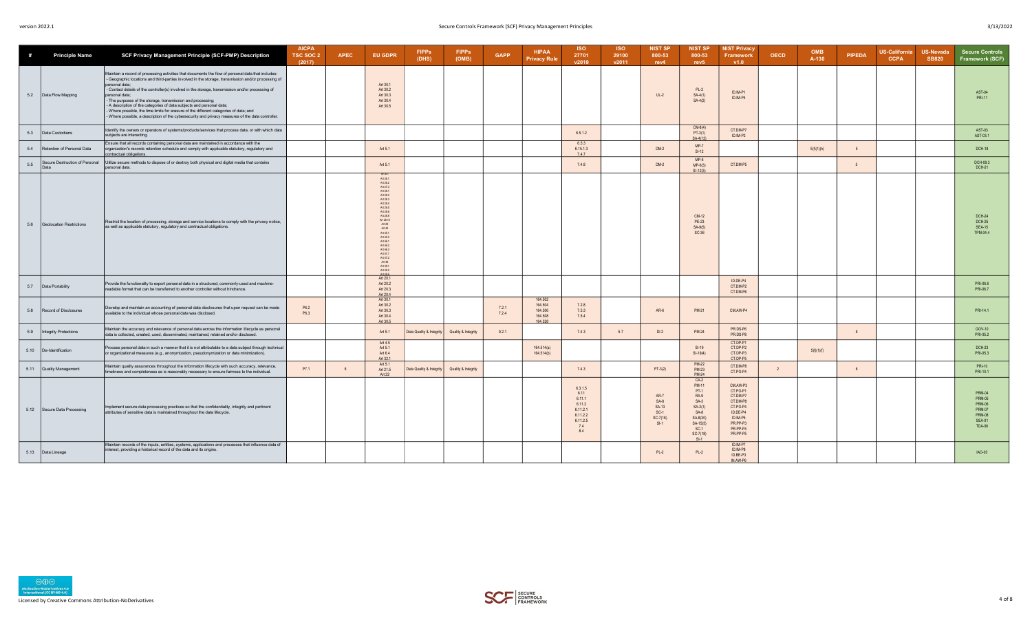| #    | <b>Principle Name</b>                  | SCF Privacy Management Principle (SCF-PMP) Description                                                                                                                                                                                                                                                                                                                                                                                                                                                                                                                                                                                                                          | <b>AICPA</b><br>TSC SOC 2<br>(2017) | <b>APEC</b> | <b>EU GDPR</b>                                                                                                                                                                                                                                                             | <b>FIPPs</b><br>(DHS)    | <b>FIPPs</b><br>(OMB) | <b>GAPP</b>    | <b>HIPAA</b><br><b>Privacy Rule</b>                 | <b>ISO</b><br>27701<br>v2019                                                          | <b>ISO</b><br>29100<br>v2011 | <b>NIST SP</b><br>800-53<br>rev4                                 | <b>NIST SP</b><br>800-53<br>rev <sub>5</sub>                                                                                | <b>NIST Privacy</b><br><b>Framework</b><br>v1.0                                                                      | <b>OECD</b>    | <b>OMB</b><br>A-130 | <b>PIPEDA</b> | <b>US-California</b><br><b>CCPA</b> | <b>US-Nevada</b><br><b>SB820</b> | <b>Secure Controls</b><br>Framework (SCF)                                                                           |
|------|----------------------------------------|---------------------------------------------------------------------------------------------------------------------------------------------------------------------------------------------------------------------------------------------------------------------------------------------------------------------------------------------------------------------------------------------------------------------------------------------------------------------------------------------------------------------------------------------------------------------------------------------------------------------------------------------------------------------------------|-------------------------------------|-------------|----------------------------------------------------------------------------------------------------------------------------------------------------------------------------------------------------------------------------------------------------------------------------|--------------------------|-----------------------|----------------|-----------------------------------------------------|---------------------------------------------------------------------------------------|------------------------------|------------------------------------------------------------------|-----------------------------------------------------------------------------------------------------------------------------|----------------------------------------------------------------------------------------------------------------------|----------------|---------------------|---------------|-------------------------------------|----------------------------------|---------------------------------------------------------------------------------------------------------------------|
| 5.2  | Data Flow Mapping                      | Maintain a record of processing activities that documents the flow of personal data that includes:<br>Geographic locations and third-parties involved in the storage, transmission and/or processing of<br>personal data:<br>- Contact details of the controller(s) involved in the storage, transmission and/or processing of<br>personal data;<br>The purposes of the storage, transmission and processing;<br>A description of the categories of data subjects and personal data;<br>Where possible, the time limits for erasure of the different categories of data; and<br>Where possible, a description of the cybersecurity and privacy measures of the data controller. |                                     |             | Art 30.1<br>Art 30.2<br>Art 30.3<br>Art 30.4<br>Art 30.5                                                                                                                                                                                                                   |                          |                       |                |                                                     |                                                                                       |                              | $UL-2$                                                           | $PL-2$<br>$SA-4(1)$<br>$SA-4(2)$                                                                                            | ID.IM-P1<br>ID.IM-P4                                                                                                 |                |                     |               |                                     |                                  | AST-04<br><b>PRI-11</b>                                                                                             |
| 5.3  | Data Custodians                        | Identify the owners or operators of systems/products/services that process data, or with which data<br>subjects are interacting.                                                                                                                                                                                                                                                                                                                                                                                                                                                                                                                                                |                                     |             |                                                                                                                                                                                                                                                                            |                          |                       |                |                                                     | 6.5.1.2                                                                               |                              |                                                                  | $CM-8(4)$<br>$PT-3(1)$<br>SA-4(12)                                                                                          | CT.DM-P7<br>ID.IM-P2                                                                                                 |                |                     |               |                                     |                                  | AST-03<br>AST-03.1                                                                                                  |
| 5.4  | Retention of Personal Data             | Ensure that all records containing personal data are maintained in accordance with the<br>organization's records retention schedule and comply with applicable statutory, regulatory and<br>contractual obligations.                                                                                                                                                                                                                                                                                                                                                                                                                                                            |                                     |             | Art 5.1                                                                                                                                                                                                                                                                    |                          |                       |                |                                                     | 6.5.3<br>6.15.1.3<br>7.4.7                                                            |                              | $DM-2$                                                           | $MP-7$<br>$SI-12$                                                                                                           |                                                                                                                      |                | 5(f)(1)(h)          | $\sqrt{2}$    |                                     |                                  | <b>DCH-18</b>                                                                                                       |
| 5.5  | Secure Destruction of Personal<br>Data | Utilize secure methods to dispose of or destroy both physical and digital media that contains<br>personal data.                                                                                                                                                                                                                                                                                                                                                                                                                                                                                                                                                                 |                                     |             | Art 5.1                                                                                                                                                                                                                                                                    |                          |                       |                |                                                     | 7.4.8                                                                                 |                              | $DM-2$                                                           | $MP-6$<br>$MP-6(3)$<br>$SI-12(3)$                                                                                           | CT.DM-P5                                                                                                             |                |                     | $-5$          |                                     |                                  | DCH-09.3<br><b>DCH-21</b>                                                                                           |
| 5.6  | Geolocation Restrictions               | Restrict the location of processing, storage and service locations to comply with the privacy notice,<br>as well as applicable statutory, regulatory and contractual obligations.                                                                                                                                                                                                                                                                                                                                                                                                                                                                                               |                                     |             | Art 26.1<br>Art 26.2<br>Art 27.3<br>Art 28.1<br>Art 28.2<br>Art 28.3<br>Art 28.4<br>Art 28.5<br>Art 28.6<br>Art 28.9<br>Art 28.10<br>Art 29<br>Art 44<br>Art 45.1<br>Art 45.2<br>Art 46.1<br>Art 46.2<br>Art 46.3<br>Art 47.1<br>Art 472<br>Art 48<br>Art 49.1<br>Art 49.2 |                          |                       |                |                                                     |                                                                                       |                              |                                                                  | CM-12<br>PE-23<br>SA-9(5)<br>SC-36                                                                                          |                                                                                                                      |                |                     |               |                                     |                                  | <b>DCH-24</b><br><b>DCH-25</b><br><b>SEA-15</b><br>TPM-04.4                                                         |
| 5.7  | Data Portability                       | Provide the functionality to export personal data in a structured, commonly-used and machine-<br>readable format that can be transferred to another controller without hindrance.                                                                                                                                                                                                                                                                                                                                                                                                                                                                                               |                                     |             | Art 20.1<br>Art 20.2<br>Art 20.3<br>Art 20.4                                                                                                                                                                                                                               |                          |                       |                |                                                     |                                                                                       |                              |                                                                  |                                                                                                                             | ID.DE-P4<br>CT.DM-P2<br>CT.DM-P6                                                                                     |                |                     |               |                                     |                                  | PRI-06.6<br>PRI-06.7                                                                                                |
| 5.8  | Record of Disclosures                  | Develop and maintain an accounting of personal data disclosures that upon request can be made<br>available to the individual whose personal data was disclosed.                                                                                                                                                                                                                                                                                                                                                                                                                                                                                                                 | P6.2<br>P6.3                        |             | Art 30.1<br>Art 30.2<br>Art 30.3<br>Art 30.4<br>Art 30.5                                                                                                                                                                                                                   |                          |                       | 7.2.1<br>7.2.4 | 164.502<br>164.504<br>164.506<br>164.508<br>164.528 | 7.2.8<br>7.5.3<br>7.5.4                                                               |                              | AR-6                                                             | PM-21                                                                                                                       | CM.AW-P4                                                                                                             |                |                     |               |                                     |                                  | PRI-14.1                                                                                                            |
| 5.9  | Integrity Protections                  | Maintain the accuracy and relevance of personal data across the information lifecycle as personal<br>data is collected, created, used, disseminated, maintained, retained and/or disclosed.                                                                                                                                                                                                                                                                                                                                                                                                                                                                                     |                                     |             | Art 5.1                                                                                                                                                                                                                                                                    | Data Quality & Integrity | Quality & Integrity   | 9.2.1          |                                                     | 7.4.3                                                                                 | 5.7                          | $DI-2$                                                           | <b>PM-24</b>                                                                                                                | PR.DS-P6<br>PR.DS-P8                                                                                                 |                |                     |               |                                     |                                  | GOV-10<br>PRI-05.2                                                                                                  |
| 5.10 | De-Identification                      | Process personal data in such a manner that it is not attributable to a data subject through technical<br>or organizational measures (e.g., anonymization, pseudonymization or data minimization).                                                                                                                                                                                                                                                                                                                                                                                                                                                                              |                                     |             | Art 4.5<br>Art 5.1<br>Art 6.4<br>Art 32.1                                                                                                                                                                                                                                  |                          |                       |                | 164.514(a)<br>164.514(b)                            |                                                                                       |                              |                                                                  | $SI-19$<br>$SI-19(4)$                                                                                                       | CT.DP-P1<br>CT.DP-P2<br>CT.DP-P3<br>CT.DP-P5                                                                         |                | 5(f)(1)(f)          |               |                                     |                                  | <b>DCH-23</b><br>PRI-05.3                                                                                           |
| 5.11 | Quality Management                     | Maintain quality assurances throughout the information lifecycle with such accuracy, relevance,<br>timeliness and completeness as is reasonably necessary to ensure fairness to the individual.                                                                                                                                                                                                                                                                                                                                                                                                                                                                                 | P7.1                                |             | Art 5.1<br>Art 21.5<br>Art 22                                                                                                                                                                                                                                              | Data Quality & Integrity | Quality & Integrity   |                |                                                     | 7.4.3                                                                                 |                              | $PT-3(2)$                                                        | <b>PM-22</b><br><b>PM-23</b><br><b>PM-24</b>                                                                                | CT.DM-P8<br>CT.PO-P4                                                                                                 | $\overline{2}$ |                     |               |                                     |                                  | <b>PRI-10</b><br>PRI-10.1                                                                                           |
| 5.12 | Secure Data Processing                 | Implement secure data processing practices so that the confidentiality, integrity and pertinent<br>attributes of sensitive data is maintained throughout the data lifecycle.                                                                                                                                                                                                                                                                                                                                                                                                                                                                                                    |                                     |             |                                                                                                                                                                                                                                                                            |                          |                       |                |                                                     | 6.3.1.5<br>6.11<br>6.11.1<br>6.11.2<br>6.11.2.1<br>6.11.2.2<br>6.11.2.5<br>7.4<br>8.4 |                              | <b>AR-7</b><br>$SA-8$<br>SA-13<br>$SC-1$<br>$SC-7(18)$<br>$SI-1$ | $CA-2$<br>PM-11<br>$PT-1$<br>$RA-9$<br>$SA-3$<br>$SA-3(1)$<br>$SA-8$<br>SA-8(30)<br>$SA-15(5)$<br>$SC-1$<br>SC-7(18)<br>CL1 | CM.AW-P3<br>CT.PO-P1<br>CT.DM-P7<br>CT.DM-P8<br>CT.PO-P4<br>ID.DE-P4<br>ID.IM-P5<br>PR.PP-P3<br>PR.PP-P4<br>PR.PP-P5 |                |                     |               |                                     |                                  | <b>PRM-04</b><br><b>PRM-05</b><br><b>PRM-06</b><br><b>PRM-07</b><br><b>PRM-08</b><br><b>SEA-01</b><br><b>TDA-06</b> |
|      | 5.13 Data Lineage                      | Maintain records of the inputs, entities, systems, applications and processes that influence data of<br>interest, providing a historical record of the data and its origins.                                                                                                                                                                                                                                                                                                                                                                                                                                                                                                    |                                     |             |                                                                                                                                                                                                                                                                            |                          |                       |                |                                                     |                                                                                       |                              | $PL-2$                                                           | $PL-2$                                                                                                                      | ID IM-P7<br>ID.IM-P8<br>ID.BE-P3<br>IN.AW-P6                                                                         |                |                     |               |                                     |                                  | IAO-03                                                                                                              |



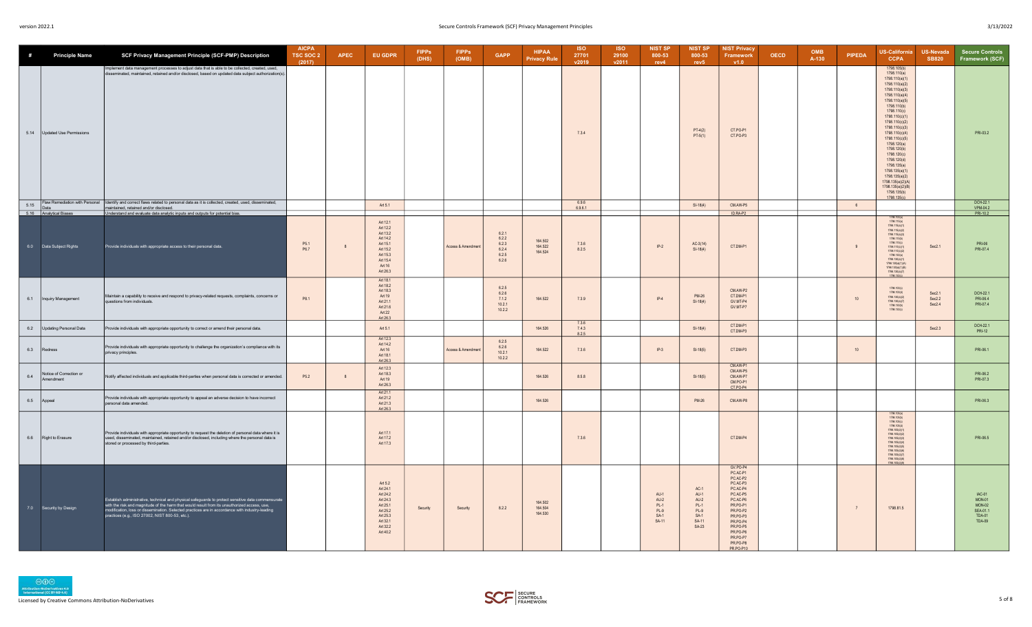| #    | <b>Principle Name</b>                | SCF Privacy Management Principle (SCF-PMP) Description                                                                                                                                                                                                                                                                                                   | <b>AICPA</b><br>TSC SOC 2<br>(2017) | <b>APEC</b> | <b>EU GDPR</b>                                                                                                      | <b>FIPPs</b><br>(DHS) | <b>FIPPs</b><br>(OMB) | <b>GAPP</b>                                        | <b>HIPAA</b><br><b>Privacy Rule</b> | <b>ISO</b><br>27701<br>v2019 | <b>ISO</b><br>29100<br>v2011 | <b>NIST SP</b><br>800-53<br>rev4                        | <b>NIST SP</b><br>800-53<br>rev5                                             | <b>NIST Privacy</b><br>Framework<br>V1.0                                                                                                                                                      | <b>OECD</b> | <b>OMB</b><br>A-130 | <b>PIPEDA</b>  | <b>US-California</b><br><b>CCPA</b>                                                                                                                                                                                                                                                                                                                                                                                                 | US-Nevada<br><b>SB820</b>  | <b>Secure Controls</b><br>Framework (SCF)                                  |
|------|--------------------------------------|----------------------------------------------------------------------------------------------------------------------------------------------------------------------------------------------------------------------------------------------------------------------------------------------------------------------------------------------------------|-------------------------------------|-------------|---------------------------------------------------------------------------------------------------------------------|-----------------------|-----------------------|----------------------------------------------------|-------------------------------------|------------------------------|------------------------------|---------------------------------------------------------|------------------------------------------------------------------------------|-----------------------------------------------------------------------------------------------------------------------------------------------------------------------------------------------|-------------|---------------------|----------------|-------------------------------------------------------------------------------------------------------------------------------------------------------------------------------------------------------------------------------------------------------------------------------------------------------------------------------------------------------------------------------------------------------------------------------------|----------------------------|----------------------------------------------------------------------------|
| 5.14 | Updated Use Permissions              | mplement data management processes to adjust data that is able to be collected, created, used,<br>disseminated, maintained, retained and/or disclosed, based on updated data subject authorization(s)                                                                                                                                                    |                                     |             |                                                                                                                     |                       |                       |                                                    |                                     | 7.3.4                        |                              |                                                         | $PT-4(2)$<br>$PT-5(1)$                                                       | CT.PO-P1<br>CT.PO-P3                                                                                                                                                                          |             |                     |                | 1798.105(b)<br>1798,110(a)<br>1798.110(a)(1)<br>1798.110(a)(2)<br>1798.110(a)(3)<br>1798 110(a)(4)<br>1798.110(a)(5)<br>1798.110(b)<br>1798.110(c)<br>1798.110(c)(1)<br>1798 110(c)(2)<br>1798.110(c)(3)<br>1798.110(c)(4)<br>1798.110(c)(5)<br>1798.120(a)<br>1798.120(b)<br>1798 120(c)<br>1798.120(d)<br>1798.135(a)<br>1798.135(a)(1)<br>1798 135(a)(2)<br>1798.135(a)(2)(A)<br>1798.135(a)(2)(B)<br>1798.135(b)<br>1798.135(c) |                            | PRI-03.2                                                                   |
| 5.15 | Data<br>5.16 Analytical Biases       | Flaw Remediation with Personal Identify and correct flaws related to personal data as it is collected, created, used, disseminated,<br>maintained, retained and/or disclosed.<br>Understand and evaluate data analytic inputs and outputs for potential bias.                                                                                            |                                     |             | Art 5.1                                                                                                             |                       |                       |                                                    |                                     | 6.9.6<br>6.9.6.1             |                              |                                                         | $SI-18(4)$                                                                   | CM AW-P5<br>ID.RA-P2                                                                                                                                                                          |             |                     | 6              |                                                                                                                                                                                                                                                                                                                                                                                                                                     |                            | DCH-22.1<br>VPM-04.2<br>PRI-102                                            |
|      | 6.0 Data Subject Rights              | Provide individuals with appropriate access to their personal data.                                                                                                                                                                                                                                                                                      | P <sub>51</sub><br>P6.7             |             | Art 12.1<br>Art 12.2<br>Art 13.2<br>Art 14.2<br>Art 15 1<br>Art 15.2<br>Art 15.3<br>Art 15.4<br>Art 16<br>Art 26.3  |                       | Access & Amendmen     | 6.2.1<br>6.2.2<br>6.2.3<br>6.2.4<br>6.2.5<br>6.2.6 | 164.502<br>164.522<br>164.524       | 736<br>8.2.5                 |                              | $IP-2$                                                  | $AC-3(14)$<br>$SI-18(4)$                                                     | CT.DM-P1                                                                                                                                                                                      |             |                     | 9              | 1798.100<br>1798.115(a)<br>1798.115(a)(1)<br>1798.115(a)(2)<br>1798.115(a)(3)<br>1798.115(b)<br>1798.115(c)<br>1798.115(c)(1)<br>$1798.115(c)(2)$<br>$1798.130(a)$<br>1798.130(a)(1)<br>1798.130(a)(1)(A)<br>1798.130(a)(1)(B)<br>1798.130(a)(7)<br>1798 130(c)                                                                                                                                                                     | Sec2.1                     | PRI-06<br>PRI-07.4                                                         |
| 6.1  | Inquiry Management                   | Maintain a capability to receive and respond to privacy-related requests, complaints, concerns or<br>questions from individuals.                                                                                                                                                                                                                         | P8.1                                |             | Art 18.1<br>Art 18.2<br>Art 18.3<br>Art 19<br>Art 21.1<br>Art 21.6<br>Art 22<br>Art 26.3                            |                       |                       | 6.2.5<br>6.2.6<br>7.1.2<br>10.2.1<br>10.2.2        | 164.522                             | 7.3.9                        |                              | $IP-4$                                                  | <b>PM-26</b><br>$SI-18(4)$                                                   | CM.AW-P2<br>CT.DM-P1<br>GV.MT-P4<br>GV.MT-P7                                                                                                                                                  |             |                     | 10             | 1798.100(c)<br>1798.100(d)<br>1798.130(a)(2)<br>1798.130(a)(7)<br>1798.130(b)<br>1798.130(c)                                                                                                                                                                                                                                                                                                                                        | Sec2.1<br>Sec2.2<br>Sec2.4 | DCH-22.1<br>PRI-06.4<br>PRI-07.4                                           |
| 6.2  | Updating Personal Data               | Provide individuals with appropriate opportunity to correct or amend their personal data.                                                                                                                                                                                                                                                                |                                     |             | Art 51                                                                                                              |                       |                       |                                                    | 164 526                             | 7.3.6<br>7.4.3<br>8.2.5      |                              |                                                         | $SI-18(4)$                                                                   | CT.DM-P1<br>CT.DM-P3                                                                                                                                                                          |             |                     |                |                                                                                                                                                                                                                                                                                                                                                                                                                                     | Sec $2.3$                  | DCH-22.1<br><b>PRI-12</b>                                                  |
| 6.3  | Redress                              | Provide individuals with appropriate opportunity to challenge the organization's compliance with its<br>privacy principles.                                                                                                                                                                                                                              |                                     |             | Art 12.3<br>Art 14.2<br>Art 16<br>Art 18.1<br>Art 26.3                                                              |                       | Access & Amendment    | 6.2.5<br>6.2.6<br>10.2.1<br>10.2.2                 | 164.522                             | 7.3.6                        |                              | $IP-3$                                                  | $SI-18(5)$                                                                   | CT.DM-P3                                                                                                                                                                                      |             |                     | 10             |                                                                                                                                                                                                                                                                                                                                                                                                                                     |                            | PRI-06.1                                                                   |
| 6.4  | Notice of Correction or<br>Amendment | Notify affected individuals and applicable third-parties when personal data is corrected or amended.                                                                                                                                                                                                                                                     | P5.2                                | 8           | Art 12.3<br>Art 18.3<br>Art 19<br>Art 26.3                                                                          |                       |                       |                                                    | 164.526                             | 8.5.8                        |                              |                                                         | $SI-18(5)$                                                                   | CM.AW-P1<br>CM.AW-P5<br>CM.AW-P7<br>CM.PO-P1<br>CT.PO-P4                                                                                                                                      |             |                     |                |                                                                                                                                                                                                                                                                                                                                                                                                                                     |                            | PRI-062<br>PRI-07.3                                                        |
| 6.5  | Appeal                               | Provide individuals with appropriate opportunity to appeal an adverse decision to have incorrect<br>personal data amended.                                                                                                                                                                                                                               |                                     |             | Art 21.1<br>Art 21.2<br>Art 21.3                                                                                    |                       |                       |                                                    | 164.526                             |                              |                              |                                                         | <b>PM-26</b>                                                                 | CM.AW-P8                                                                                                                                                                                      |             |                     |                |                                                                                                                                                                                                                                                                                                                                                                                                                                     |                            | PRI-06.3                                                                   |
| 6.6  | Right to Erasure                     | Provide individuals with appropriate opportunity to request the deletion of personal data where it is<br>used, disseminated, maintained, retained and/or disclosed, including where the personal data is<br>stored or processed by third-parties.                                                                                                        |                                     |             | Art 26.3<br>Art 17.1<br>Art 17 2<br>Art 17.3                                                                        |                       |                       |                                                    |                                     | 7.3.6                        |                              |                                                         |                                                                              | CT.DM-P4                                                                                                                                                                                      |             |                     |                | 1798 105(s)<br>1798.105(b)<br>1798.105(c)<br>1798.105(d)<br>1798.105(d)(1)<br>1798.105(d)(2)<br>1798.105/dl/3)<br>1798.105(d)(4)<br>1798.105(d)(5)<br>1798.105(d)(6)<br>1798.105(d)(7)<br>1798.105(d)(8)<br>1798 105/dV9                                                                                                                                                                                                            |                            | PRI-06.5                                                                   |
|      | 7.0 Security by Design               | Establish administrative, technical and physical safeguards to protect sensitive data commensurate<br>with the risk and magnitude of the harm that would result from its unauthorized access, use,<br>modification, loss or dissemination. Selected practices are in accordance with industry-leading<br>practices (e.g., ISO 27002, NIST 800-53, etc.). |                                     |             | Art 5.2<br>Art 24 1<br>Art 24.2<br>Art 24.3<br>Art 25.1<br>Art 25.2<br>Art 25.3<br>Art 32.1<br>Art 32.2<br>Art 40.2 | Security              | Security              | 8.2.2                                              | 164.502<br>164 504<br>164.530       |                              |                              | $AU-1$<br>$AU-2$<br>$PL-1$<br>$PL-9$<br>$SA-1$<br>SA-11 | $AC-1$<br>$AU-1$<br>$AU-2$<br>$PL-1$<br>$PL-9$<br>$SA-1$<br>SA-11<br>$SA-23$ | GV.PO-P4<br>PC.AC-P1<br>PC.AC-P2<br>PC.AC-P3<br>PC AC-P4<br>PC.AC-P5<br>PC.AC-P6<br>PR.PO-P1<br>PR.PO-P2<br>PR.PO-P3<br>PR.PO-P4<br>PR.PO-P5<br>PR.PO-P6<br>PR.PO-P7<br>PR.PO-P8<br>PR PO-P10 |             |                     | $\overline{7}$ | 1798.81.5                                                                                                                                                                                                                                                                                                                                                                                                                           |                            | IAC-01<br><b>MON-01</b><br>$MON-02$<br>SEA-01.1<br><b>TDA-01</b><br>TDA-09 |

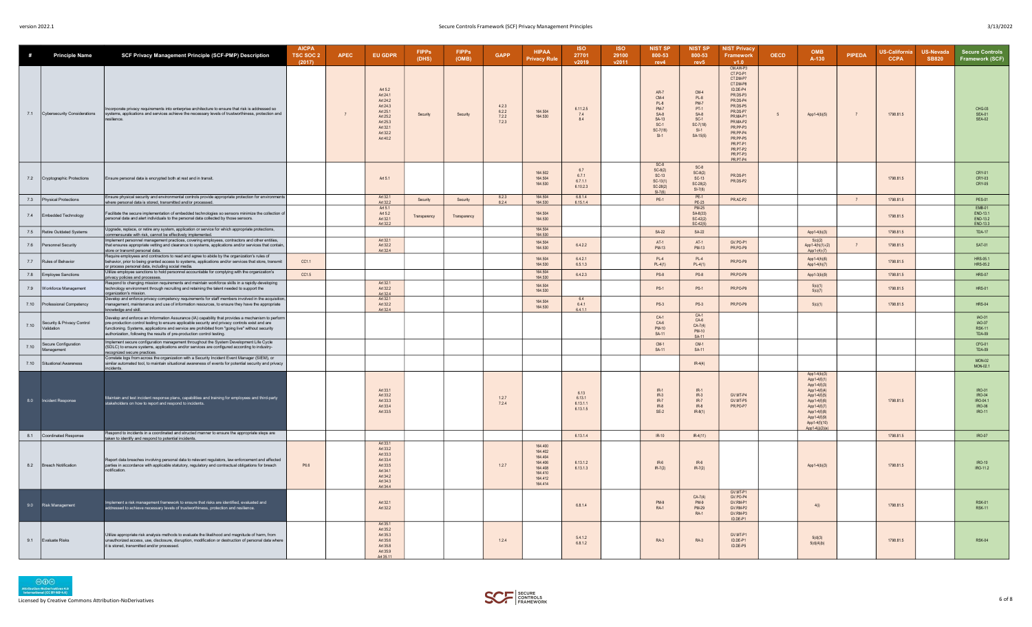| #    | <b>Principle Name</b>                    | SCF Privacy Management Principle (SCF-PMP) Description                                                                                                                                                                                                                                                                                                                              | <b>AICPA</b><br>TSC SOC 2<br>(2017) | <b>APEC</b> | <b>EU GDPR</b>                                                                                                      | <b>FIPPs</b><br>(DHS) | <b>FIPPs</b><br>(OMB) | <b>GAPP</b>                      | <b>HIPAA</b><br><b>Privacy Rule</b>                                                  | <b>ISO</b><br>27701<br>v2019           | <b>ISO</b><br>29100<br>v2011 | <b>NIST SP</b><br>800-53<br>rev4                                                                     | <b>NIST SP</b><br>800-53<br>rev <sub>5</sub>                                                  | <b>NIST Privacy</b><br>Framework<br>v1.0                                                                                                                                                                             | <b>OECD</b>    | <b>OMB</b><br>A-130                                                                                                                                                              | <b>PIPEDA</b>  | <b>US-California</b><br><b>CCPA</b> | US-Nevada<br><b>SB820</b> | <b>Secure Controls</b><br>Framework (SCF)                      |
|------|------------------------------------------|-------------------------------------------------------------------------------------------------------------------------------------------------------------------------------------------------------------------------------------------------------------------------------------------------------------------------------------------------------------------------------------|-------------------------------------|-------------|---------------------------------------------------------------------------------------------------------------------|-----------------------|-----------------------|----------------------------------|--------------------------------------------------------------------------------------|----------------------------------------|------------------------------|------------------------------------------------------------------------------------------------------|-----------------------------------------------------------------------------------------------|----------------------------------------------------------------------------------------------------------------------------------------------------------------------------------------------------------------------|----------------|----------------------------------------------------------------------------------------------------------------------------------------------------------------------------------|----------------|-------------------------------------|---------------------------|----------------------------------------------------------------|
|      | 7.1 Cybersecurity Considerations         | ncorporate privacy requirements into enterprise architecture to ensure that risk is addressed so<br>systems, applications and services achieve the necessary levels of trustworthiness, protection and<br>silience.                                                                                                                                                                 |                                     |             | Art 5.2<br>Art 24.1<br>Art 24.2<br>Art 24.3<br>Art 25.1<br>Art 25.2<br>Art 25.3<br>Art 32 1<br>Art 32.2<br>Art 40.2 | Security              | Security              | 4.2.3<br>6.2.2<br>7.2.2<br>7.2.3 | 164,504<br>164.530                                                                   | 6.11.2.5<br>7.4<br>8.4                 |                              | AR-7<br>$CM-4$<br>$PL-8$<br><b>PM-7</b><br>$SA-8$<br>SA-13<br>$SC-1$<br>$SC-7(18)$<br>S <sub>1</sub> | $CM-4$<br>PL-8<br><b>PM-7</b><br>PT-1<br>$SA-8$<br>$SC-1$<br>$SC-7(18)$<br>$SI-1$<br>SA-15(5) | CM.AW-P3<br>CT.PO-P1<br>CT.DM-P7<br>CT.DM-P8<br>ID DE-P4<br>PR DS-P3<br>PR DS-P4<br>PR.DS-P5<br>PR.DS-P7<br>PR.MA-P1<br>PR.MA-P2<br>PR PP-P3<br>PR PP-P4<br>PR PP-P5<br>PR.PT-P1<br>PR.PT-P2<br>PR.PT-P3<br>PR.PT-P4 | 5 <sup>5</sup> | App1-4(b)(5)                                                                                                                                                                     | $\overline{7}$ | 1798.81.5                           |                           | CHG-03<br><b>SEA-01</b><br><b>SEA-02</b>                       |
|      | 7.2 Cryptographic Protections            | Ensure personal data is encrypted both at rest and in transit.                                                                                                                                                                                                                                                                                                                      |                                     |             | Art 5.1                                                                                                             |                       |                       |                                  | 164.502<br>164.504<br>164,530                                                        | 67<br>671<br>6.7.1.1<br>6.10.2.3       |                              | SC-8<br>SC-8(2)<br>SC-13<br>$SC-13(1)$<br>$SC-28(2)$<br>$SI-7(6)$                                    | $SC-8$<br>$SC-8(2)$<br>$SC-13$<br>$SC-28(2)$<br>$SI-7(6)$                                     | PR DS.P1<br>PR.DS-P2                                                                                                                                                                                                 |                |                                                                                                                                                                                  |                | 1798.81.5                           |                           | CRY-01<br>CRY-03<br>CRY-05                                     |
|      | 7.3 Physical Protections                 | Ensure physical security and environmental controls provide appropriate protection for environments<br>where personal data is stored, transmitted and/or processed.                                                                                                                                                                                                                 |                                     |             | Art 32.1<br>Art 32.2                                                                                                | Security              | Security              | 8.2.3<br>8.2.4                   | 164,504<br>164,530                                                                   | 6.8.1.4<br>6.15.1.4                    |                              | <b>PE-1</b>                                                                                          | $PE-1$                                                                                        | PR.AC-P2                                                                                                                                                                                                             |                |                                                                                                                                                                                  | $\overline{7}$ | 1798.81.5                           |                           | PES-01                                                         |
| 7.4  | Embedded Technology                      | Facilitate the secure implementation of embedded technologies so sensors minimize the collection o<br>personal data and alert individuals to the personal data collected by those sensors.                                                                                                                                                                                          |                                     |             | Art 5.1<br>Art 5.2<br>Art 32.1<br>Art 32.2                                                                          | Transparency          | Transparency          |                                  | 164 504<br>164,530                                                                   |                                        |                              |                                                                                                      | PE-23<br>PM-25<br>SA-8(33)<br>$SC-42(2)$<br>$SC-42(5)$                                        |                                                                                                                                                                                                                      |                |                                                                                                                                                                                  |                | 1798.81.5                           |                           | <b>EMB-01</b><br><b>FND-131</b><br>END-13.2<br>END-13.3        |
|      | 7.5 Retire Outdated Systems              | Upgrade, replace, or retire any system, application or service for which appropriate protections,<br>commensurate with risk, cannot be effectively implemented.                                                                                                                                                                                                                     |                                     |             |                                                                                                                     |                       |                       |                                  | 164,504<br>164.530                                                                   |                                        |                              | <b>SA-22</b>                                                                                         | <b>SA-22</b>                                                                                  |                                                                                                                                                                                                                      |                | App1-4(b)(3)                                                                                                                                                                     |                | 1798.81.5                           |                           | <b>TDA-17</b>                                                  |
|      | 7.6 Personnel Security                   | Implement personnel management practices, covering employees, contractors and other entities,<br>that ensures appropriate vetting and clearance to systems, applications and/or services that contain,<br>store or transmit personal data.                                                                                                                                          |                                     |             | Art 32.1<br>Art 32.2<br>Art 32.4                                                                                    |                       |                       |                                  | 164 504<br>164,530                                                                   | 6.4.2.2                                |                              | $\Delta T - 1$<br><b>PM-13</b>                                                                       | $\Delta$ T <sub>-1</sub><br><b>PM-13</b>                                                      | GV PO-P1<br>PR.PO-P9                                                                                                                                                                                                 |                | 5(c)(2)<br>App1-4(h)(1)-(2)<br>App1-(4)-(7)                                                                                                                                      |                | 1798.81.5                           |                           | SAT-01                                                         |
|      | 7.7 Rules of Behavior                    | Require employees and contractors to read and agree to abide by the organization's rules of<br>behavior, prior to being granted access to systems, applications and/or services that store, transmit<br>or process personal data, including social media.                                                                                                                           | CC1.1                               |             |                                                                                                                     |                       |                       |                                  | 164.504<br>164.530<br>164.504                                                        | 6.4.2.1<br>6.5.1.3                     |                              | $PL-4$<br>$PL-4(1)$                                                                                  | $PL-4$<br>$PL-4(1)$                                                                           | PR.PO-P9                                                                                                                                                                                                             |                | App1-4(h)(6)<br>App1-4(h)(7)                                                                                                                                                     |                | 1798.81.5                           |                           | HRS-05.1<br>HRS-05.2                                           |
|      | 7.8 Employee Sanctions                   | Utilize employee sanctions to hold personnel accountable for complying with the organization's<br>privacy policies and processes.                                                                                                                                                                                                                                                   | CC1.5                               |             |                                                                                                                     |                       |                       |                                  | 164.530                                                                              | 6.4.2.3                                |                              | $PS-8$                                                                                               | $PS-8$                                                                                        | PR.PO-P9                                                                                                                                                                                                             |                | App1-3(b)(9)                                                                                                                                                                     |                | 1798 81.5                           |                           | <b>HRS-07</b>                                                  |
|      | 7.9   Workforce Management               | Respond to changing mission requirements and maintain workforce skills in a rapidly-developing<br>technology environment through recruiting and retaining the talent needed to support the<br>organization's mission.                                                                                                                                                               |                                     |             | Art 32.1<br>Art 32.2<br>Art 324                                                                                     |                       |                       |                                  | 164 504<br>164.530                                                                   |                                        |                              | <b>PS-1</b>                                                                                          | $PS-1$                                                                                        | PR.PO-P9                                                                                                                                                                                                             |                | 5(c)(1)<br>5(c)(7)                                                                                                                                                               |                | 1798.81.5                           |                           | <b>HRS-01</b>                                                  |
|      | 7.10 Professional Competency             | Develop and enforce privacy competency requirements for staff members involved in the acquisition,<br>management, maintenance and use of information resources, to ensure they have the appropriate<br>owledge and skill.                                                                                                                                                           |                                     |             | Art 32.1<br>Art 32.2<br>Art 32.4                                                                                    |                       |                       |                                  | 164.504<br>164.530                                                                   | 64<br>6.4.1<br>6.4.1.1                 |                              | <b>PS-3</b>                                                                                          | $PS-3$<br>CA                                                                                  | PR PO-P9                                                                                                                                                                                                             |                | 5(c)(1)                                                                                                                                                                          |                | 1798 81.5                           |                           | <b>HRS-04</b>                                                  |
| 7.10 | Security & Privacy Control<br>Validation | Develop and enforce an Information Assurance (IA) capability that provides a mechanism to perform<br>pre-production control testing to ensure applicable security and privacy controls exist and are<br>functioning. Systems, applications and service are prohibited from "going live" without security<br>authorization, following the results of pre-production control testing. |                                     |             |                                                                                                                     |                       |                       |                                  |                                                                                      |                                        |                              | $CA-1$<br>$CA-6$<br>PM-10<br>SA-11                                                                   | $CA-6$<br>$CA-7(4)$<br>PM-10<br>SA-11                                                         |                                                                                                                                                                                                                      |                |                                                                                                                                                                                  |                |                                     |                           | IAO-01<br>IAO-07<br><b>RSK-11</b><br><b>TDA-09</b>             |
| 7.10 | Secure Configuration<br>Management       | Implement secure configuration management throughout the System Development Life Cycle<br>(SDLC) to ensure systems, applications and/or services are configured according to industry-<br>ecognized secure practices.                                                                                                                                                               |                                     |             |                                                                                                                     |                       |                       |                                  |                                                                                      |                                        |                              | $CM-1$<br><b>SA-11</b>                                                                               | $CM-1$<br>SA-11                                                                               |                                                                                                                                                                                                                      |                |                                                                                                                                                                                  |                |                                     |                           | CFG-01<br><b>TDA-09</b>                                        |
|      | 7.10 Situational Awareness               | Correlate logs from across the organization with a Security Incident Event Manager (SIEM), or<br>similar automated tool, to maintain situational awareness of events for potential security and privacy<br>ncidents.                                                                                                                                                                |                                     |             |                                                                                                                     |                       |                       |                                  |                                                                                      |                                        |                              |                                                                                                      | $IR-4(4)$                                                                                     |                                                                                                                                                                                                                      |                |                                                                                                                                                                                  |                |                                     |                           | MON-02<br>MON-02.1                                             |
| 8.0  | Incident Response                        | Maintain and test incident response plans, capabilities and training for employees and third-party<br>stakeholders on how to report and respond to incidents                                                                                                                                                                                                                        |                                     |             | Art 33 1<br>Art 33.2<br>Art 33.3<br>Art 33.4<br>Art 33.5                                                            |                       |                       | 1.2.7<br>7.2.4                   |                                                                                      | 6.13<br>6.13.1<br>6.13.1.1<br>6.13.1.5 |                              | $IR-1$<br>$IR-3$<br>$IR-7$<br>$IR-8$<br>$SE-2$                                                       | $IR-1$<br>$IR-3$<br>$IR-7$<br>$IR-8$<br>$IR-8(1)$                                             | GV.MT-P4<br>GV.MT-P5<br>PR.PO-P7                                                                                                                                                                                     |                | App1-4(b)(3)<br>Ann1-4(f)(1)<br>App1-4(f)(3)<br>App1-4(f)(4)<br>App1-4(f)(5)<br>App1-4(f)(6)<br>App1-4(f)(7)<br>App1-4(f)(8)<br>App1-4(f)(9)<br>App1-4(f)(10)<br>App1-4(j)(2)(e) |                | 1798.81.5                           |                           | <b>IRO-01</b><br><b>IRO-04</b><br>IRO-04.1<br>IRO-06<br>IRO-11 |
|      | 8.1 Coordinated Response                 | Respond to incidents in a coordinated and structed manner to ensure the appropriate steps are<br>taken to identify and respond to potential incidents.                                                                                                                                                                                                                              |                                     |             |                                                                                                                     |                       |                       |                                  |                                                                                      | 6.13.1.4                               |                              | $IR-10$                                                                                              | $IR-4(11)$                                                                                    |                                                                                                                                                                                                                      |                |                                                                                                                                                                                  |                | 1798.81.5                           |                           | IRO-07                                                         |
| 8.2  | Breach Notification                      | Report data breaches involving personal data to relevant regulators, law enforcement and affected<br>parties in accordance with applicable statutory, regulatory and contractual obligations for breach<br>notification.                                                                                                                                                            | P6.6                                |             | Art 33.1<br>Art 33.2<br>Art 33.3<br>Art 334<br>Art 33.5<br>Art 34.1<br>Art 34.2<br>Art 34.3<br>Art 34.4             |                       |                       | 1.2.7                            | 164 400<br>164 402<br>164,404<br>164,406<br>164.408<br>164.410<br>164 412<br>164 414 | 6.13.1.2<br>6.13.1.3                   |                              | $IR-6$<br>$IR-7(2)$                                                                                  | $IR-6$<br>$IR-7(2)$                                                                           |                                                                                                                                                                                                                      |                | App1-4(b)(3)                                                                                                                                                                     |                | 1798.81.5                           |                           | IRO-10<br>IRO-11.2                                             |
|      | 9.0 Risk Management                      | Implement a risk management framework to ensure that risks are identified, evaluated and<br>addressed to achieve necessary levels of trustworthiness, protection and resilience                                                                                                                                                                                                     |                                     |             | Art 32.1<br>Art 32.2                                                                                                |                       |                       |                                  |                                                                                      | 6.8.1.4                                |                              | <b>PM-9</b><br><b>RA-1</b>                                                                           | $CA-7(4)$<br><b>PM-9</b><br>PM-29<br><b>RA-1</b>                                              | GV.MT-P<br>GV.PO-P4<br>GV.RM-P1<br>GV RM-P2<br>GV.RM-P3<br>ID.DE-P1                                                                                                                                                  |                | 4(i)                                                                                                                                                                             |                | 1798.81.5                           |                           | <b>RSK-01</b><br><b>RSK-11</b>                                 |
| 9.1  | Evaluate Risks                           | Utilize appropriate risk analysis methods to evaluate the likelihood and magnitude of harm, from<br>unauthorized access, use, disclosure, disruption, modification or destruction of personal data where<br>it is stored, transmitted and/or processed                                                                                                                              |                                     |             | Art 35.1<br>Art 35.2<br>Art 35.3<br>Art 35.6<br>Art 35 8<br>Art 35.9<br>Art 35 11                                   |                       |                       | 1.2.4                            |                                                                                      | 5.4.1.2<br>6.8.1.2                     |                              | <b>RA-3</b>                                                                                          | $RA-3$                                                                                        | GV MT-P1<br>ID.DE-P1<br>ID DE-P5                                                                                                                                                                                     |                | 5(d)(3)<br>5(d)(4)(b)                                                                                                                                                            |                | 1798.81.5                           |                           | <b>RSK-04</b>                                                  |



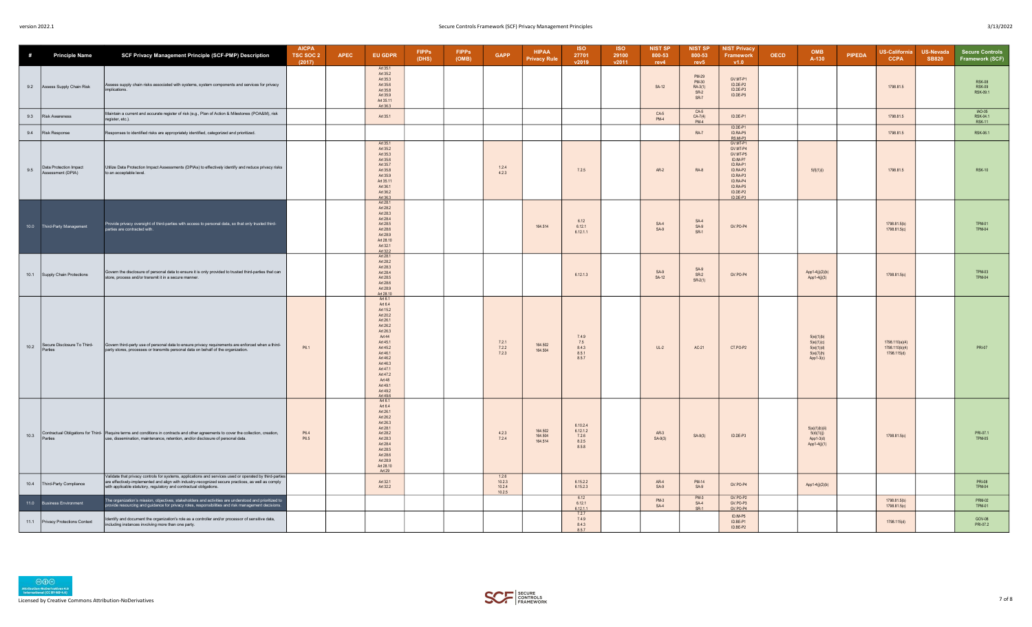| #    | <b>Principle Name</b>                       | SCF Privacy Management Principle (SCF-PMP) Description                                                                                                                                                                                                                              | <b>AICPA</b><br>TSC SOC 2<br>(2017) | <b>APEC</b> | EU GDPR                                                                                                                                                                                                                    | <b>FIPPs</b><br>(DHS) | <b>FIPPs</b><br>(OMB) | <b>GAPP</b>               | <b>HIPAA</b><br><b>Privacy Rule</b> | <b>ISO</b><br>27701<br>v2019                    | <b>ISO</b><br>29100<br>v2011 | <b>NIST SP</b><br>800-53<br>rev4 | <b>NIST SP</b><br>800-53<br>rev <sub>5</sub>       | <b>NIST Privacy</b><br>Framework<br>v1.0                                                                                           | OECD | OMB<br>A-130                                                        | PIPEDA | <b>US-California</b><br><b>CCPA</b>             | <b>US-Nevada</b><br><b>SB820</b> | <b>Secure Controls</b><br>Framework (SCF)  |
|------|---------------------------------------------|-------------------------------------------------------------------------------------------------------------------------------------------------------------------------------------------------------------------------------------------------------------------------------------|-------------------------------------|-------------|----------------------------------------------------------------------------------------------------------------------------------------------------------------------------------------------------------------------------|-----------------------|-----------------------|---------------------------|-------------------------------------|-------------------------------------------------|------------------------------|----------------------------------|----------------------------------------------------|------------------------------------------------------------------------------------------------------------------------------------|------|---------------------------------------------------------------------|--------|-------------------------------------------------|----------------------------------|--------------------------------------------|
| 9.2  | Assess Supply Chain Risk                    | Assess supply chain risks associated with systems, system components and services for privacy<br>implications.                                                                                                                                                                      |                                     |             | Art 35.1<br>Art 35.2<br>Art 35.3<br>Art 35.6<br>Art 35.8<br>Art 35.9<br>Art 35.11<br>Art 36.3                                                                                                                              |                       |                       |                           |                                     |                                                 |                              | SA-12                            | <b>PM-29</b><br>PM-30<br>RA-3(1)<br>$SR-2$<br>SR-7 | GV.MT-P1<br>ID.DE-P2<br>ID DE-P3<br>ID.DE-P5                                                                                       |      |                                                                     |        | 1798.81.5                                       |                                  | <b>RSK-08</b><br><b>RSK-09</b><br>RSK-09.1 |
| 9.3  | <b>Risk Awareness</b>                       | Maintain a current and accurate register of risk (e.g., Plan of Action & Milestones (POA&M), risk<br>register, etc.).                                                                                                                                                               |                                     |             | Art 35.1                                                                                                                                                                                                                   |                       |                       |                           |                                     |                                                 |                              | $CA-5$<br>$PM-4$                 | $CA-5$<br>$CA-7(4)$<br>$PM-4$                      | ID.DE-P1                                                                                                                           |      |                                                                     |        | 1798.81.5                                       |                                  | IAO-05<br>RSK-04.1<br><b>RSK-11</b>        |
| 9.4  | <b>Risk Response</b>                        | Responses to identified risks are appropriately identified, categorized and prioritized.                                                                                                                                                                                            |                                     |             |                                                                                                                                                                                                                            |                       |                       |                           |                                     |                                                 |                              |                                  | <b>RA-7</b>                                        | ID.DE-P1<br>ID.RA-P5<br>RS.MI-P3                                                                                                   |      |                                                                     |        | 1798.81.5                                       |                                  | RSK-06.1                                   |
| 9.5  | Data Protection Impact<br>Assessment (DPIA) | Utilize Data Protection Impact Assessments (DPIAs) to effectively identify and reduce privacy risks<br>to an acceptable level.                                                                                                                                                      |                                     |             | Art 35.1<br>Art 35.2<br>Art 35.3<br>Art 35.6<br>Art 35.7<br>Art 35.8<br>Art 35.9<br>Art 35.11<br>Art 36.1<br>Art 36.2<br>Art 36.3                                                                                          |                       |                       | 1.2.4<br>4.2.3            |                                     | 7.2.5                                           |                              | $AR-2$                           | RA-8                                               | GV.MT-P1<br>GV MT-P4<br>GV.MT-P5<br>ID.IM-P7<br>ID RA-P1<br>ID.RA-P2<br>ID.RA-P3<br>ID RA-P4<br>ID.RA-P5<br>ID.DE-P2<br>$ID.DE-P3$ |      | 5(f)(1)(i)                                                          |        | 1798.81.5                                       |                                  | <b>RSK-10</b>                              |
|      | 10.0 Third-Party Management                 | -Provide privacy oversight of third-parties with access to personal data, so that only trusted third-<br>parties are contracted with.                                                                                                                                               |                                     |             | Art 28.1<br>Art 28.2<br>Art 28.3<br>Art 28.4<br>Art 28.5<br>Art 28.6<br>Art 28.9<br>Art 28.10<br>Art 32.1<br>Art 32.2                                                                                                      |                       |                       |                           | 164.514                             | 6.12<br>6.12.1<br>6.12.1.1                      |                              | $SA-4$<br>$SA-9$                 | $SA-4$<br>$SA-9$<br>$SR-1$                         | GV.PO-P4                                                                                                                           |      |                                                                     |        | 1798 81 5(b)<br>1798.81.5(c)                    |                                  | <b>TPM-01</b><br><b>TPM-04</b>             |
| 10.1 | Supply Chain Protections                    | Govern the disclosure of personal data to ensure it is only provided to trusted third-parties that can<br>store, process and/or transmit it in a secure manner.                                                                                                                     |                                     |             | Art 28.1<br>Art 28.2<br>Art 28.3<br>Art 28.4<br>Art 28.5<br>Art 28.6<br>Art 28.9<br>Art 28.10                                                                                                                              |                       |                       |                           |                                     | 6.12.1.3                                        |                              | $SA-9$<br>SA-12                  | $SA-9$<br>$SR-2$<br>$SR-2(1)$                      | GV.PO-P4                                                                                                                           |      | App1-4(j)(2)(b)<br>App1-4(j)(3)                                     |        | 1798.81.5(c)                                    |                                  | TPM-03<br><b>TPM-04</b>                    |
| 10.2 | Secure Disclosure To Third-<br>Parties      | Govern third-party use of personal data to ensure privacy requirements are enforced when a third-<br>party stores, processes or transmits personal data on behalf of the organization.                                                                                              | P6.1                                |             | Art 6.1<br>Art 6.4<br>Art 15.2<br>Art 20.2<br>Art 26.1<br>Art 26.2<br>Art 26.3<br>Art 44<br>Art 45.1<br>Art 45 2<br>Art 46.1<br>Art 46.2<br>Art 46.3<br>Art 47.1<br>Art 47.2<br>Art 48<br>Art 49 1<br>Art 49.2<br>Art 49.6 |                       |                       | 7.2.1<br>7.2.2<br>7.2.3   | 164,502<br>164.504                  | 7.4.9<br>7.5<br>8.4.3<br>8.5.1<br>8.5.7         |                              | $UL-2$                           | $AC-21$                                            | CT.PO-P2                                                                                                                           |      | 5(e)(1)(b)<br>5(e)(1)(c)<br>5(e)(1)(d)<br>5(e)(7)(h)<br>$App1-3(c)$ |        | 1798.110(a)(4)<br>1798 110(b)(4)<br>1798.115(d) |                                  | PRI-07                                     |
| 10.3 | Parties                                     | Contractual Obligations for Third- Require terms and conditions in contracts and other agreements to cover the collection, creation,<br>use, dissemination, maintenance, retention, and/or disclosure of personal data.                                                             | P6.4<br>P6.5                        |             | Art 6.1<br>Art 6.4<br>Art 26.1<br>Art 26.2<br>Art 26.3<br>Art 28.1<br>Art 28.2<br>Art 28.3<br>Art 28.4<br>Art 28.5<br>Art 28.6<br>Art 28.9<br>Art 28.10<br>Art 29                                                          |                       |                       | 4.2.3<br>7.2.4            | 164.502<br>164,504<br>164.514       | 6.10.2.4<br>6.12.1.2<br>7.2.6<br>8.2.5<br>8.5.8 |                              | $AR-3$<br>$SA-9(3)$              | $SA-9(3)$                                          | ID.DE-P3                                                                                                                           |      | 5(a)(1)(b)(ii)<br>5(d)(1)(j)<br>App 1-3(d)<br>App1-4(j)(1)          |        | 1798.81.5(c)                                    |                                  | PRI-07.1<br><b>TPM-05</b>                  |
| 10.4 | Third-Party Compliance                      | Validate that privacy controls for systems, applications and services used or operated by third-parties<br>are effectively-implemented and align with industry-recognized secure practices, as well as comply<br>with applicable statutory, regulatory and contractual obligations. |                                     |             | Art 32 1<br>Art 32.2                                                                                                                                                                                                       |                       |                       | 1.2.6<br>10.2.3<br>10.2.4 |                                     | 6.15.2.2<br>6.15.2.3                            |                              | $AR-4$<br>$SA-9$                 | PM-14<br>$SA-9$                                    | GV.PO-P4                                                                                                                           |      | App1-4(j)(2)(b)                                                     |        |                                                 |                                  | <b>PRI-08</b><br><b>TPM-04</b>             |
|      | 11.0 Business Environment                   | The organization's mission, objectives, stakeholders and activities are understood and prioritized to<br>provide resourcing and guidance for privacy roles, responsibilities and risk management decisions.                                                                         |                                     |             |                                                                                                                                                                                                                            |                       |                       | 10.2.5                    |                                     | 6.12<br>6.12.1<br>6.12.1.1                      |                              | $PM-3$<br>SA-4                   | $PM-3$<br>$SA-4$<br>$SR-1$                         | GV.PO-P2<br>GV.PO-P3<br>GV.PO-P4                                                                                                   |      |                                                                     |        | 1798.81.5(b)<br>1798.81.5(c)                    |                                  | <b>PRM-02</b><br><b>TPM-01</b>             |
| 11.1 | Privacy Protections Context                 | Identify and document the organization's role as a controller and/or processor of sensitive data,<br>including instances involving more than one party.                                                                                                                             |                                     |             |                                                                                                                                                                                                                            |                       |                       |                           |                                     | 7.2.7<br>7.4.9<br>8.4.3<br>8.5.7                |                              |                                  |                                                    | ID.IM-P5<br>ID.BE-P1<br>ID.BE-P2                                                                                                   |      |                                                                     |        | 1798.115(d)                                     |                                  | GOV-08<br>PRI-07.2                         |